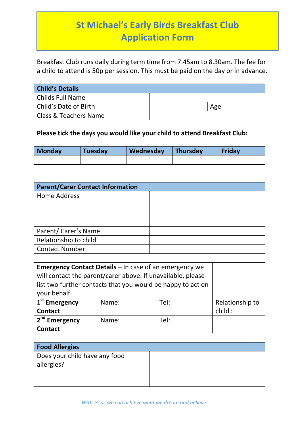## **St Michael's Early Birds Breakfast Club Application Form**

Breakfast Club runs daily during term time from 7.45am to 8.30am. The fee for a child to attend is 50p per session. This must be paid on the day or in advance.

| <b>Child's Details</b> |     |  |
|------------------------|-----|--|
| Childs Full Name       |     |  |
| Child's Date of Birth  | Age |  |
| Class & Teachers Name  |     |  |

## **Please tick the days you would like your child to attend Breakfast Club:**

| Monday | <b>Tuesday</b> | Wednesday | <b>Thursday</b> | Friday |
|--------|----------------|-----------|-----------------|--------|
|        |                |           |                 |        |

| <b>Parent/Carer Contact Information</b> |  |
|-----------------------------------------|--|
| <b>Home Address</b>                     |  |
|                                         |  |
|                                         |  |
|                                         |  |
| Parent/ Carer's Name                    |  |
| Relationship to child                   |  |
| <b>Contact Number</b>                   |  |

| <b>Emergency Contact Details - In case of an emergency we</b> |       |      |                 |
|---------------------------------------------------------------|-------|------|-----------------|
| will contact the parent/carer above. If unavailable, please   |       |      |                 |
| list two further contacts that you would be happy to act on   |       |      |                 |
| your behalf.                                                  |       |      |                 |
| 1 <sup>st</sup> Emergency                                     | Name: | Tel: | Relationship to |
| <b>Contact</b>                                                |       |      | child:          |
| 2 <sup>nd</sup> Emergency                                     | Name: | Tel: |                 |
| <b>Contact</b>                                                |       |      |                 |

| <b>Food Allergies</b>                       |  |
|---------------------------------------------|--|
| Does your child have any food<br>allergies? |  |